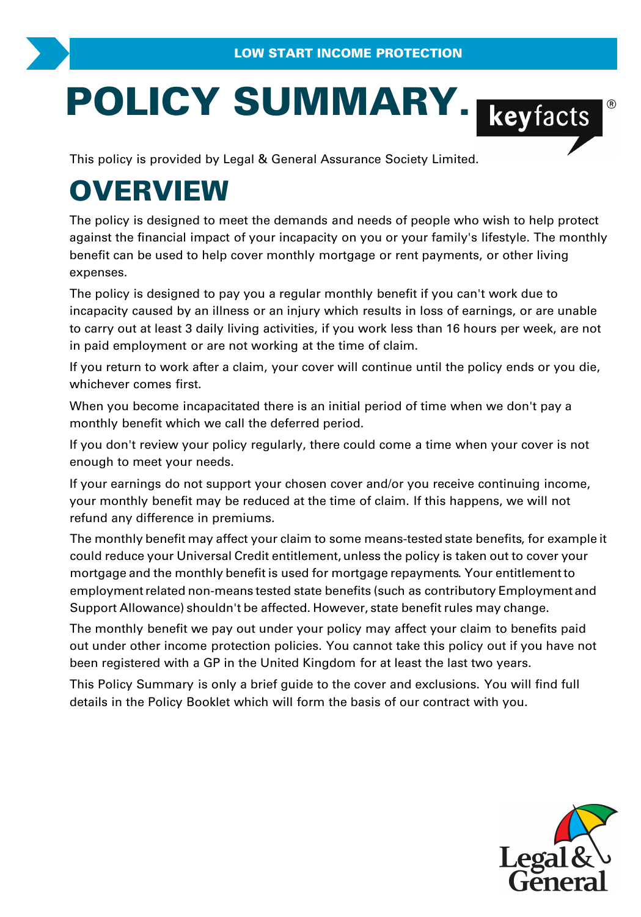# **POLICY SUMMARY.**<br>
This policy is provided by Legal & General Assurance Society Limited.

# **OVERVIEW**

The policy is designed to meet the demands and needs of people who wish to help prote<br>against the financial impact of your incapacity on you or your family's lifestyle. The mon<br>benefit can be used to help cover monthly mor The policy is designed to meet the demands and needs of people who wish to help protect against the financial impact of your incapacity on you or your family's lifestyle. The monthly benefit can be used to help cover monthly mortgage or rent payments, or other living expenses.

incapacity caused by an illness or an injury which results in loss of earnings, or are unable benetit can be used to help cover monthly mortgage or rent payments, or other living<br>expenses.<br>The policy is designed to pay you a regular monthly benefit if you can't work due to<br>incapacity caused by an illness or an inju in paid employment or are not working at the time of claim. The policy is designed to pay you a regular monthly benefit if you can't work due to<br>incapacity caused by an illness or an injury which results in loss of earnings, or are unable<br>to carry out at least 3 daily living activi

whichever comes first. If you return to work after a claim, your cover will continue until the policy ends or you die,<br>whichever comes first.<br>When you become incapacitated there is an initial period of time when we don't pay a<br>monthly benefit wh

When you become incapacitated there is an initial period of time when we don't pay a monthly benefit which we call the deferred period.

enough to meet your needs.

If your earnings do not support your chosen cover and/or you receive continuing income, your monthly benefit may be reduced at the time of claim. If this happens, we will not refund any difference in premiums.

The monthly benefit may affect your claim to some means-tested state benefits , for example it could reduce your Universal Credit entitlement, unless the policy is taken out to cover your mortgage and the monthly benefit is used for mortgage repayments . Your entitlement to employment related non-means tested state benefits (such as contributory Employment and Support Allowance) shouldn't be affected. However, state benefit rules may change.

The monthly benefit we pay out under your policy may affect your claim to benefits paid out under other income protection policies. You cannot take this policy out if you have not employment related non-means tested state benefits (such as contributory Employme<br>Support Allowance) shouldn't be affected. However, state benefit rules may change.<br>The monthly benefit we pay out under your policy may affe Support Anowance) shouldn't be anected. However, state benefit fulles hiay change.<br>The monthly benefit we pay out under your policy may affect your claim to benefits paid<br>out under other income protection policies. You can

details in the Policy Booklet which will form the basis of our contract with you.

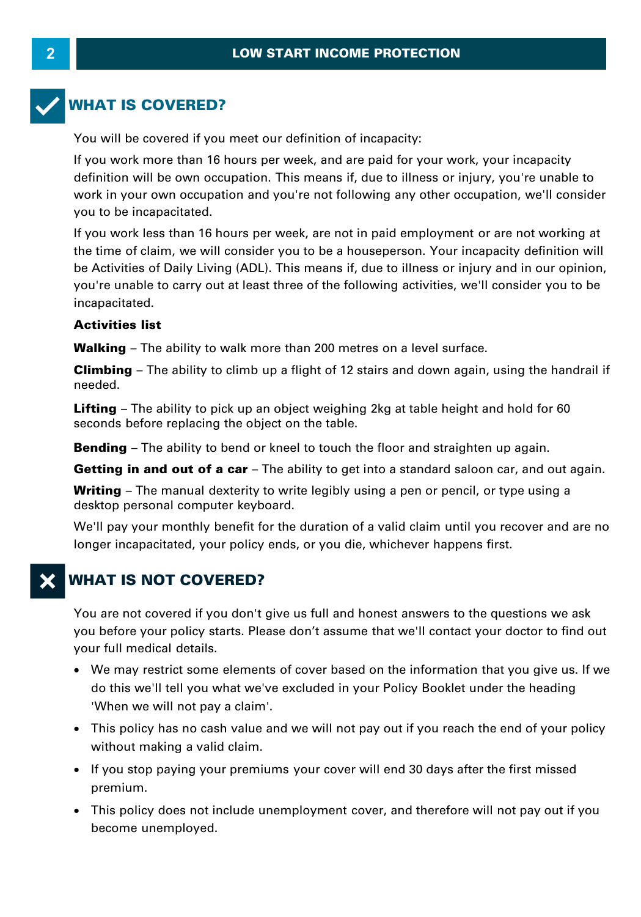# **WHAT IS COVERED?**

You will be covered if you meet our definition of incapacity:

If you work more than 16 hours per week, and are paid for your work, your incapacity definition will be own occupation. This means if, due to illness or injury, you're unable to work in your own occupation and you're not following any other occupation, we'll consider you to be incapacitated.

If you work less than 16 hours per week, are not in paid employment or are not working at definition will be own occupation. This means if, due to illness or injury, you're unable to<br>work in your own occupation and you're not following any other occupation, we'll consider<br>you to be incapacitated.<br>If you work le be Activities of Daily Living (ADL). This means if, due to illness or injury and in our opinion, you're unable to carry out at least three of the following activities, we'll consider you to be incapacitated. **Walking – The ability to walk more than 200 metres on a level surface.<br>
<b>Activities list**<br> **Walking – The ability to walk more than 200 metres on a level surface.**<br> **Climbing – The ability to climb up a flight of 12 stair** 

#### **Activities list**

incapacitated.<br>**Activities list**<br>Walking – The ability to walk more than 200 metres on a level surface.<br>Climbing – The ability to climb up a flight of 12 stairs and down again, using the handrail if<br>needed. needed.

**Lifting** – The ability to pick up an object weighing 2kg at table height and hold for 60 seconds before replacing the object on the table. **Bending** – The ability to bility up an object weighing 2kg at table height and hold for 60 seconds before replacing the object on the table.<br>**Bending** – The ability to bend or kneel to touch the floor and straighten up ag

**Bending** – The ability to bend or kneel to touch the floor and straighten up again.<br>**Getting in and out of a car** – The ability to get into a standard saloon car, and out again.

seconds before replacing the object on the table.<br>**Bending** – The ability to bend or kneel to touch the floor and straighten up again.<br>**Getting in and out of a car** – The ability to get into a standard saloon car, and out desktop personal computer keyboard.

**Getting in and out of a car** – The ability to get into a standard saloon car, and out again.<br> **Writing** – The manual dexterity to write legibly using a pen or pencil, or type using a desktop personal computer keyboard.<br>
W longer incapacitated, your policy ends, or you die, whichever happens first.

# **WHAT IS NOT COVERED?**

You are not covered if you don't give us full and honest answers to the questions we ask you before your policy starts. Please don't assume that we'll contact your doctor to find out your full medical details.

- · We may restrict some elements of cover based on the information that you give us. If we do this we'll tell you what we've excluded in your Policy Booklet under the heading You before your policy starts. Please<br>Your full medical details.<br>• We may restrict some elements<br>do this we'll tell you what we've<br>"When we will not pay a claim".<br>• This policy has no cash value af we may restrict some elements of<br>do this we'll tell you what we've e<br>"When we will not pay a claim".<br>• This policy has no cash value and<br>without making a valid claim.<br>• If you stop paying your premiums
- This policy has no cash value and we will not pay out if you reach the end of your policy
- If you stop paying your premiums your cover will end 30 days after the first missed premium.
- · This policy does not include unemployment cover, and therefore will not pay out if you become unemployed.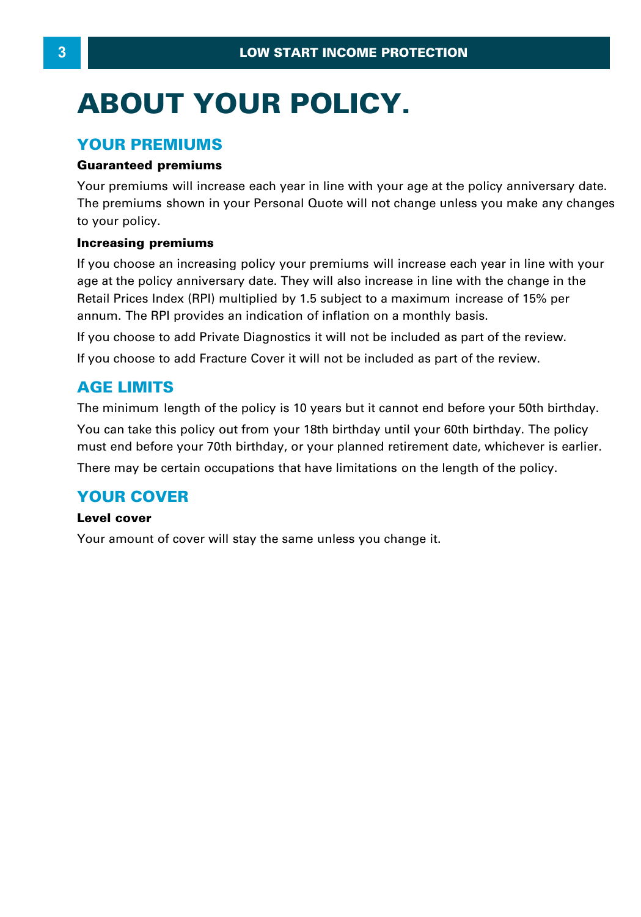# **ABOUT YOUR POLICY.**

#### **YOUR PREMIUMS**

#### **Guaranteed premiums**

Your premiums will increase each year in line with your age at the policy anniversary date. The premiums shown in your Personal Quote will not change unless you make any changes to your policy.

#### **Increasing premiums**

If you choose an increasing policy your premiums will increase each year in line with your age at the policy anniversary date. They will also increase in line with the change in the **Increasing premiums**<br>If you choose an increasing policy your premiums will increase each year in line with you<br>age at the policy anniversary date. They will also increase in line with the change in the<br>Retail Prices Index **Increasing premiums**<br>If you choose an increasing policy your premiums will increase each year ir<br>age at the policy anniversary date. They will also increase in line with the ch<br>Retail Prices Index (RPI) multiplied by 1.5

If you choose to add Private Diagnostics it will not be included as part of the review.

If you choose to add Fracture Cover it will not be included as part of the review.

# **AGE LIMITS**

The minimum length of the policy is 10 years but it cannot end before your 50th birthday. You can take this policy out from your 18th birthday until your 60th birthday. The policy must end before your 70th birthday, or your planned retirement date, whichever is earlier. There may be certain occupations that have limitations on the length of the policy.

# **YOUR COVER**

#### **Level cover**

Your amount of cover will stay the same unless you change it.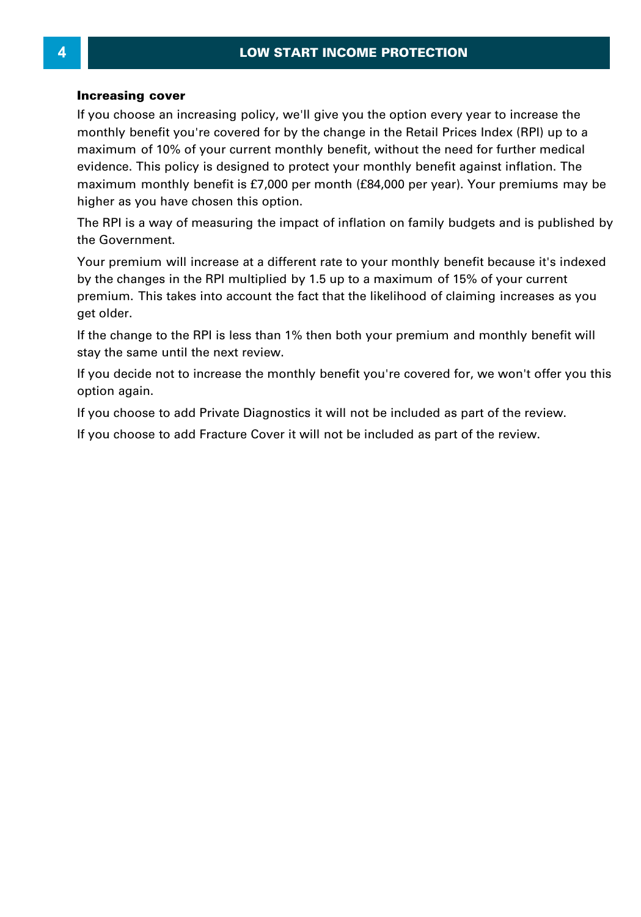#### **Increasing cover**

If you choose an increasing policy, we'll give you the option every year to increase the monthly benefit you're covered for by the change in the Retail Prices Index (RPI) up to a maximum of 10% of your current monthly benefit, without the need for further medical evidence. This policy is designed to protect your monthly benefit against inflation. The maximum monthly benefit is £7,000 per month (£84,000 per year). Your premiums may be higher as you have chosen this option. maximum of 10% of your current monthly benefit, without the need for further medical<br>evidence. This policy is designed to protect your monthly benefit against inflation. The<br>maximum monthly benefit is £7,000 per month (£84

the Government.

The RPI is a way of measuring the impact of inflation on family budgets and is published by<br>The RPI is a way of measuring the impact of inflation on family budgets and is published by<br>the Government.<br>Your premium will incr The RPI is a way of measuring the impact of inflation on family budgets and is published<br>the Government.<br>Your premium will increase at a different rate to your monthly benefit because it's indexe<br>by the changes in the RPI premium. This takes into account the fact that the likelihood of claiming increases as you get older.

If the change to the RPI is less than 1% then both your premium and monthly benefit will stay the same until the next review.

If you decide not to increase the monthly benefit you're covered for, we won't offer you this option again. If you decide not to increase the monthly benefit you're covered for, we won't offer you to<br>If you decide not to increase the monthly benefit you're covered for, we won't offer you to<br>ption again.<br>If you choose to add Priv

If you choose to add Fracture Cover it will not be included as part of the review.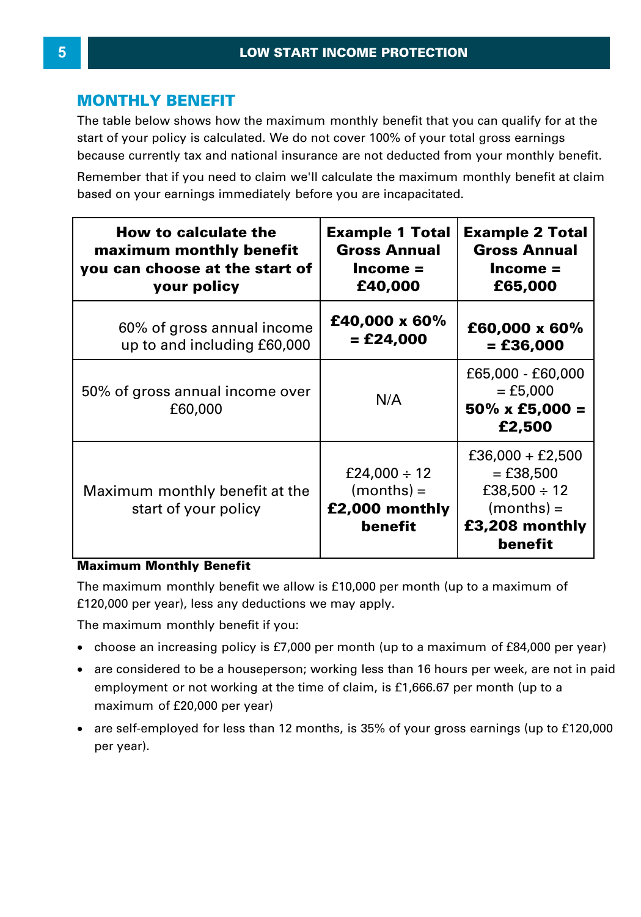### **MONTHLY BENEFIT**

The table below shows how the maximum monthly benefit that you can qualify for at the start of your policy is calculated. We do not cover 100% of your total gross earnings because currently tax and national insurance are not deducted from your monthly benefit.

| because currently tax and national insurance are not deducted from your monthly benefit.                                                                    |                                                                        |                                                                                                     |
|-------------------------------------------------------------------------------------------------------------------------------------------------------------|------------------------------------------------------------------------|-----------------------------------------------------------------------------------------------------|
| Remember that if you need to claim we'll calculate the maximum monthly benefit at claim<br>based on your earnings immediately before you are incapacitated. |                                                                        |                                                                                                     |
| How to calculate the<br>maximum monthly benefit<br>you can choose at the start of<br>your policy                                                            | <b>Example 1 Total</b><br><b>Gross Annual</b><br>$Income =$<br>£40,000 | <b>Example 2 Total</b><br><b>Gross Annual</b><br>$Income =$<br>£65,000                              |
| 60% of gross annual income<br>up to and including £60,000                                                                                                   | £40,000 x 60%<br>= £24,000                                             | £60,000 x 60%<br>$=$ £36,000                                                                        |
| 50% of gross annual income over<br>£60,000                                                                                                                  | N/A                                                                    | £65,000 - £60,000<br>$=$ £5,000<br>$50\% \times £5,000 =$<br>£2,500                                 |
| Maximum monthly benefit at the<br>start of your policy                                                                                                      | £24,000 $\div$ 12<br>$(months) =$<br>£2,000 monthly<br>benefit         | $£36,000 + £2,500$<br>$=$ £38,500<br>£38,500 $\div$ 12<br>$(months) =$<br>£3,208 monthly<br>benefit |

#### **Maximum Monthly Benefit**

The maximum monthly benefit we allow is £10,000 per month (up to a maximum of £120,000 per year), less any deductions we may apply. The maximum monthly benefit we allow is £10,000 per month (up to a maximum of<br>£120,000 per year), less any deductions we may apply.<br>The maximum monthly benefit if you:<br>• choose an increasing policy is £7,000 per month (up

The maximum monthly benefit if you:

- ·
- are considered to be a houseperson; working less than 16 hours per week, are not in paid employment or not working at the time of claim, is £1,666.67 per month (up to a maximum of £20,000 per year)
- · are self-employed for less than 12 months, is 35% of your gross earnings (up to £120,000 per year).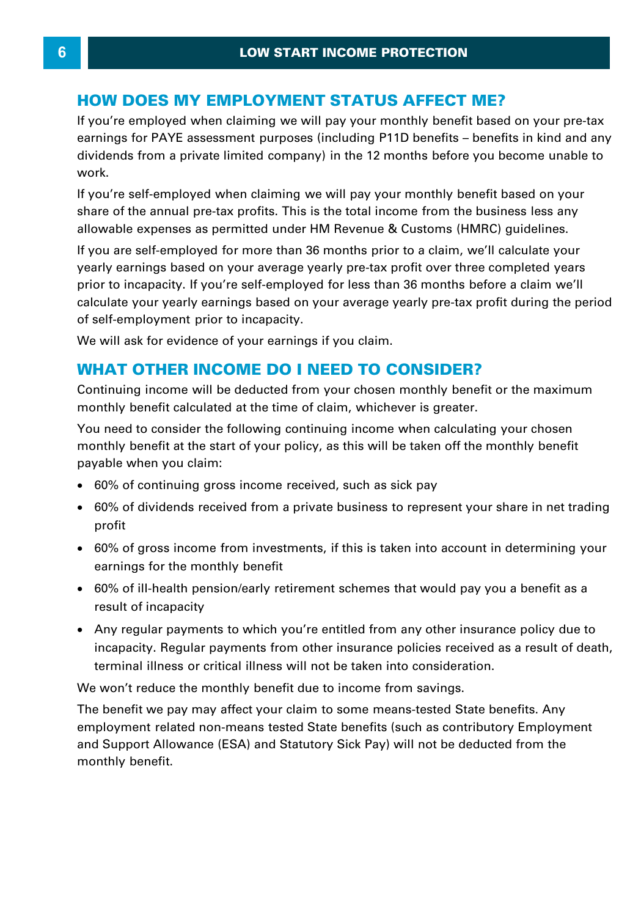#### **HOW DOES MY EMPLOYMENT STATUS AFFECT ME?**

If you're employed when claiming we will pay your monthly benefit based on your pre-tax **HOW DOES MY EMPLOYMENT STATUS AFFECT ME?**<br>If you're employed when claiming we will pay your monthly benefit based on your pre-tax<br>earnings for PAYE assessment purposes (including P11D benefits – benefits in kind and any<br>d **HOW DOES MY EMPLOYMENT STATUS AFFECT ME?**<br>If you're employed when claiming we will pay your monthly benefit based on your pre-tax<br>earnings for PAYE assessment purposes (including P11D benefits – benefits in kind and any<br>d work.

If you're self-employed when claiming we will pay your monthly benefit based on your share of the annual pre-tax profits. This is the total income from the business less any dividends from a private limited company) in the 12 months before you become unable to<br>work.<br>If you're self-employed when claiming we will pay your monthly benefit based on your<br>share of the annual pre-tax profits. This is If you're self-employed when claiming we will pay your monthly benefit based on your<br>share of the annual pre-tax profits. This is the total income from the business less any<br>allowable expenses as permitted under HM Revenue

share of the annual pre-tax profits. This is the total income from the business less any<br>allowable expenses as permitted under HM Revenue & Customs (HMRC) guidelines.<br>If you are self-employed for more than 36 months prior of self-employment prior to incapacity. prior to incapacity. If you're self-employed for less than 36 months before a claim we'll<br>calculate your yearly earnings based on your average yearly pre-tax profit during the period<br>of self-employment prior to incapacity.

We will ask for evidence of your earnings if you claim.

monthly benefit calculated at the time of claim, whichever is greater.

You need to consider the following continuing income when calculating your chosen monthly benefit at the start of your policy, as this will be taken off the monthly benefit payable when you claim: from a mode to dividends received from a private with dividend from a problem with the monthly benefit at the start of your policy, as this will be taken off the monthly benefit vable when you claim:<br>60% of continuing gros

- · 60% of continuing gross income received, such as sick pay
- ·profit
- · 60% of gross income from investments, if this is taken into account in determining your earnings for the monthly benefit profit<br>60% of gross income from investments, if this is taken into account in determining your<br>earnings for the monthly benefit<br>60% of ill-health pension/early retirement schemes that would pay you a benefit as a<br>result of
- 60% of ill-health pension/early retirement schemes that would pay you a benefit as a result of incapacity
- · Any regular payments to which you're entitled from any other insurance policy due to 60% of ill-health pension/early retirement schemes that would pay you a benefit as a<br>result of incapacity<br>Any regular payments to which you're entitled from any other insurance policy due to<br>incapacity. Regular payments fr terminal illness or critical illness will not be taken into consideration.

We won't reduce the monthly benefit due to income from savings.

The benefit we pay may affect your claim to some means-tested State benefits. Any employment related non-means tested State benefits (such as contributory Employment and Support Allowance (ESA) and Statutory Sick Pay) will not be deducted from the monthly benefit.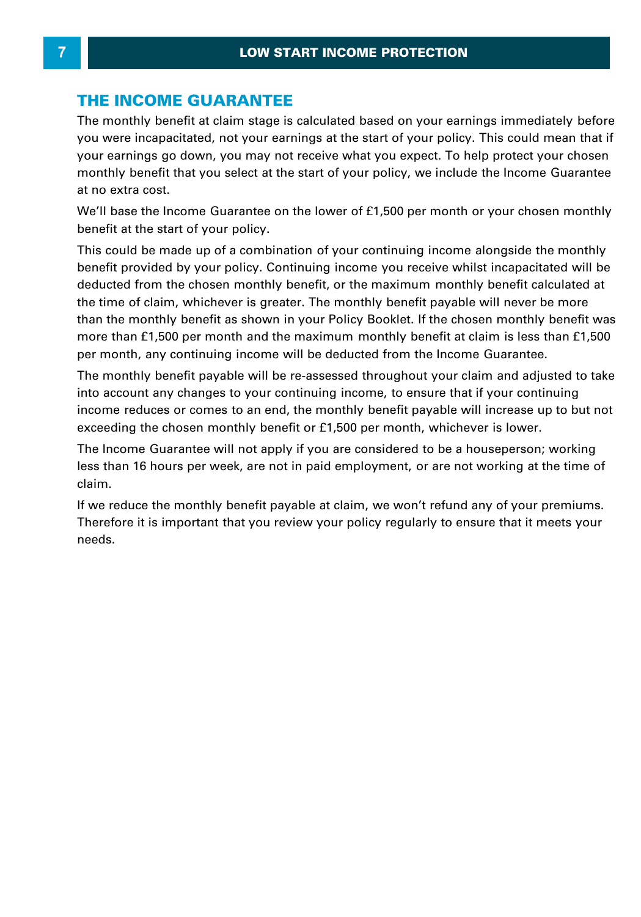#### **THE INCOME GUARANTEE**

The monthly benefit at claim stage is calculated based on your earnings immediately before you were incapacitated, not your earnings at the start of your policy. This could mean that if your earnings go down, you may not receive what you expect. To help protect your chosen monthly benefit that you select at the start of your policy, we include the Income Guarantee at no extra cost.

We'll base the Income Guarantee on the lower of £1,500 per month or your chosen monthly benefit at the start of your policy.

This could be made up of a combination of your policy, we medde the medine diarance<br>We'll base the Income Guarantee on the lower of £1,500 per month or your chosen monthly<br>benefit at the start of your policy.<br>This could be benefit provided by your policy. Continuing income you receive whilst incapacitated will be deducted from the chosen monthly benefit, or the maximum monthly benefit calculated at the time of claim, whichever is greater. The monthly benefit payable will never be more than the monthly benefit as shown in your Policy Booklet. If the chosen monthly benefit was more than £1,500 per month and the maximum monthly benefit at claim is less than £1,500 per month, any continuing income will be deducted from the Income Guarantee.

The monthly benefit payable will be re-assessed throughout your claim and adjusted to take into account any changes to your continuing income, to ensure that if your continuing income reduces or comes to an end, the monthly benefit payable will increase up to but not exceeding the chosen monthly benefit or £1,500 per month, whichever is lower. The monthly benefit payable will be re-assessed throughout your claim and adjusted to take<br>into account any changes to your continuing income, to ensure that if your continuing<br>income reduces or comes to an end, the monthl

less than 16 hours per week, are not in paid employment, or are not working at the time of claim.

If we reduce the monthly benefit payable at claim, we won't refund any of your premiums. Therefore it is important that you review your policy regularly to ensure that it meets your needs.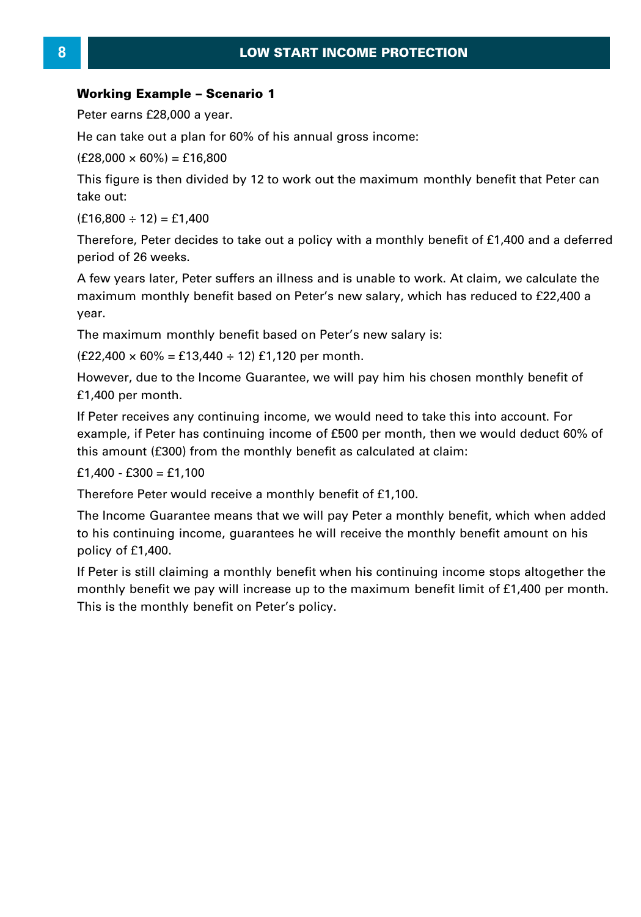# **LOW START IN**<br>**Working Example – Scenario 1**<br>Peter earns £28,000 a year. **LOV**<br>**Working Example – Scenario**<br>Peter earns £28,000 a year.<br>He can take out a plan for 60% o **Working Example – Scenari**<br>Peter earns £28,000 a year.<br>He can take out a plan for 60%<br>(£28,000 × 60%) = £16,800<br>This figure is then divided by 1

**Working Example – Scenario 1<br>Peter earns £28,000 a year.<br>He can take out a plan for 60% of his annual gross income:<br>(£28,000 × 60%) = £16,800** 

This figure is then divided by 12 to work out the maximum monthly benefit that Peter can take out:  $(f28,000 \times 60\%) = f16,800$ <br>This figure is then divided b<br>take out:<br> $(f16,800 \div 12) = f1,400$ <br>Therefore. Peter decides to

This figure is then divided by 12 to work out the maximum monthly benefit that Peter can<br>take out:<br>(£16,800 ÷ 12) = £1,400<br>Therefore, Peter decides to take out a policy with a monthly benefit of £1,400 and a deferred<br>peri period of 26 weeks.

(£16,800 ÷ 12) = £1,400<br>Therefore, Peter decides to take out a policy with a monthly benefit of £1,400 and a deferred<br>period of 26 weeks.<br>A few years later, Peter suffers an illness and is unable to work. At claim, we calc maximum monthly benefit based on Peter's new salary, which has reduced to £22,400 a year. Friew years fact, if eter surfers an imitess and is analyte to work. At elamit, we calculate the maximum monthly benefit based on Peter's new salary, which has reduced to £22,400 a year.<br>The maximum monthly benefit based

The maximum monthly benefit based on Peter's new salary is:

£1,400 per month.

If Peter receives any continuing income, we would need to take this into account. For example, if Peter has continuing income, we would heed to take this life account. For example, if Peter has continuing income of £500 per month, then we would deduct 60% of this amount (£300) from the monthly benefit as ca this amount (£300) from the monthly benefit as calculated at claim: E1,400 per monument<br>If Peter receives any continexample, if Peter has contin<br>this amount (£300) from th<br>£1,400 - £300 = £1,100<br>Therefore Peter would rece

£1,400 - £300 = £1,100<br>Therefore Peter would receive a monthly benefit of £1,100.<br>The Income Guarantee means that we will pay Peter a monthly benefit, which when added to his continuing income, guarantees he will receive the monthly benefit amount on his policy of £1,400. The Income Guarantee means that we will pay Peter a monthly benefit, which when added<br>to his continuing income, guarantees he will receive the monthly benefit amount on his<br>policy of £1,400.<br>If Peter is still claiming a mo

This is the monthly benefit on Peter's policy.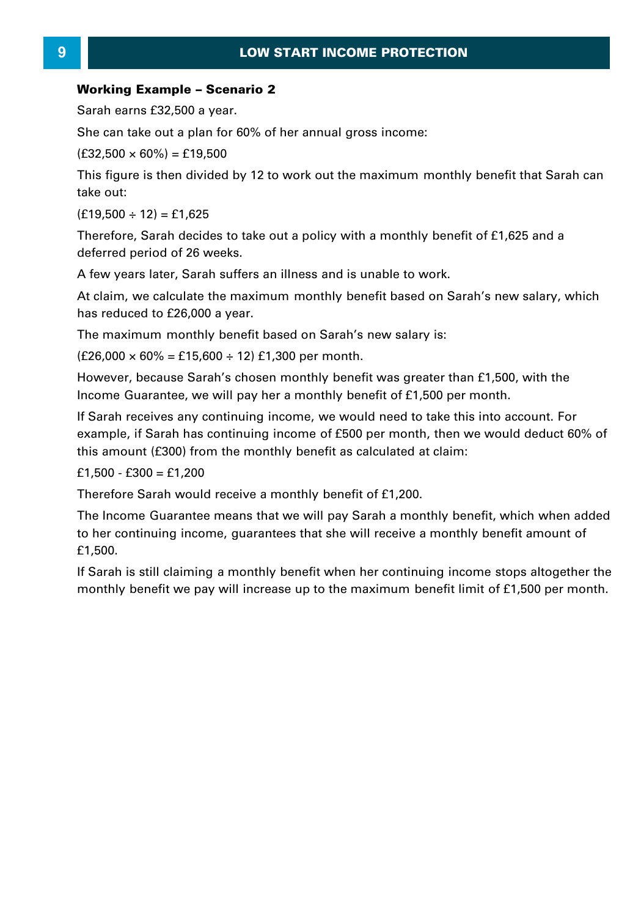# **LOW START IN**<br>Working Example – Scenario 2<br>Sarah earns £32,500 a year. LOW<br>**Working Example – Scenario**<br>Sarah earns £32,500 a year.<br>She can take out a plan for 60% **Working Example – Scenari**<br>Sarah earns £32,500 a year.<br>She can take out a plan for 60%<br>(£32,500 × 60%) = £19,500<br>This figure is then divided by 1

Sarah earns £32,500 a year.<br>She can take out a plan for 60% of her annual gross income:<br>(£32.500 × 60%) = £19.500

This figure is then divided by 12 to work out the maximum monthly benefit that Sarah can take out:  $(f32,500 \times 60\%) = f19,500$ <br>This figure is then divided b<br>take out:<br> $(f19,500 \div 12) = f1,625$ <br>Therefore, Sarah decides to This figure is then divided by 12 to work out the maximum monthly benefit that Sarah can<br>take out:<br>(£19,500 ÷ 12) = £1,625<br>Therefore, Sarah decides to take out a policy with a monthly benefit of £1,625 and a<br>deferred peri

deferred period of 26 weeks.  $(f19,500 \div 12) = f1,625$ <br>Therefore, Sarah decides to take out a policy with a monthly benefit of £1,625 and a

At claim, we calculate the maximum monthly benefit based on Sarah's new salary, which A few years later, Sarah suffers an illness and is unable to work.<br>At claim, we calculate the maximum monthly benefit based on S<br>has reduced to £26,000 a year. At claim, we calculate the maximum monthly benefit based on Sarah's new salary, which<br>has reduced to £26,000 a year.<br>The maximum monthly benefit based on Sarah's new salary is:<br>(£26,000 × 60% = £15,600 ÷ 12) £1,300 per mon

The maximum monthly benefit based on Sarah's new salary is:

The maximum monthly benefit based on Sarah's new salary is:<br>(£26,000 × 60% = £15,600 ÷ 12) £1,300 per month.<br>However, because Sarah's chosen monthly benefit was greater than £1,500, wit<br>Income Guarantee, we will pay her a

If Sarah receives any continuing income, we would need to take this into account. For example, if Sarah has continuing income of £500 per month, then we would deduct 60% of this amount (£300) from the monthly benefit as calculated at claim:<br>
£1,500 - £300 = £1,200<br>
Therefore Sarah would receive a monthly be this amount (£300) from the monthly benefit as calculated at claim: If Sarah receives any continexample, if Sarah has continexample, if Sarah has continent<br>this amount (£300) from th<br>£1,500 - £300 = £1,200<br>Therefore Sarah would rec

this amount (£300) from the monthly benefit as calculated at claim:<br>£1,500 - £300 = £1,200<br>Therefore Sarah would receive a monthly benefit of £1,200.<br>The Income Guarantee means that we will pay Sarah a monthly benefit, whi  $f1,500 - f300 = f1,200$ <br>Therefore Sarah would receive a monthly benefit of  $f1,200$ .<br>The lncome Guarantee means that we will pay Sarah a monthly benefit, which when added<br>to her continuing income, guarantees that she will re £1,500. Therefore Sarah would receive a monthly benefit of £1,200.<br>The Income Guarantee means that we will pay Sarah a monthly benefit, which when added<br>to her continuing income, guarantees that she will receive a monthly benefit

monthly benefit we pay will increase up to the maximum benefit limit of £1,500 per month.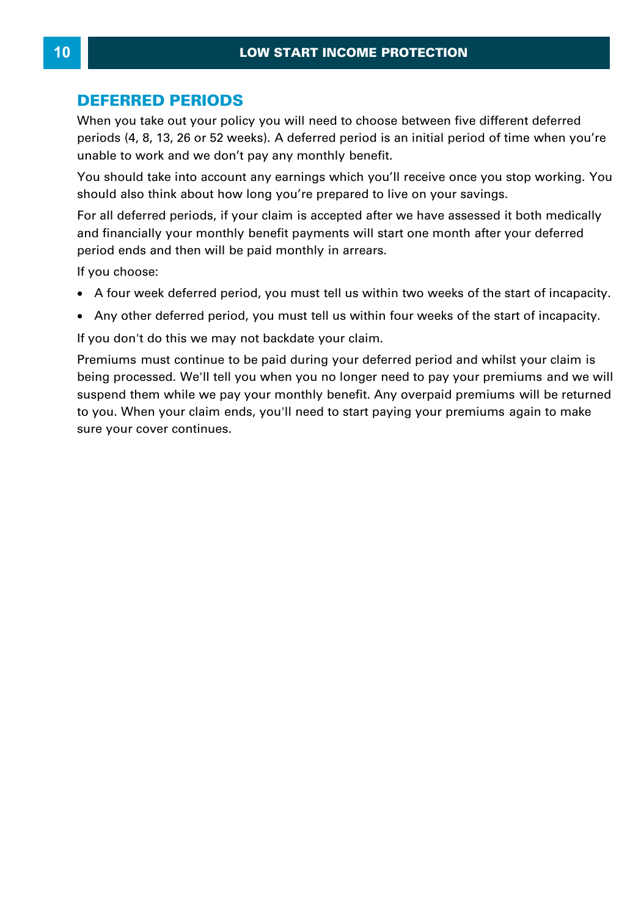#### **DEFERRED PERIODS**

When you take out your policy you will need to choose between five different deferred periods (4, 8, 13, 26 or 52 weeks). A deferred period is an initial period of time when you're unable to work and we don't pay any monthly benefit.

You should take into account any earnings which you'll receive once you stop working. You should also think about how long you're prepared to live on your savings.

For all deferred periods, if your claim is accepted after we have assessed it both medically and financially your monthly benefit payments will start one month after your deferred period ends and then will be paid monthly in arrears. A four week deferred period, you must tell us within two matter your deferred period ends and then will be paid monthly in arrears.<br>
If you choose:<br>
• A four week deferred period, you must tell us within two weeks of the s

If you choose:

- ·
- Any other deferred period, you must tell us within four weeks of the start of incapacity.

If you don't do this we may not backdate your claim.

Premiums must continue to be paid during your deferred period and whilst your claim is being processed. We'll tell you when you no longer need to pay your premiums and we will suspend them while we pay your monthly benefit. Any overpaid premiums will be returned to you. When your claim ends, you'll need to start paying your premiums again to make sure your cover continues.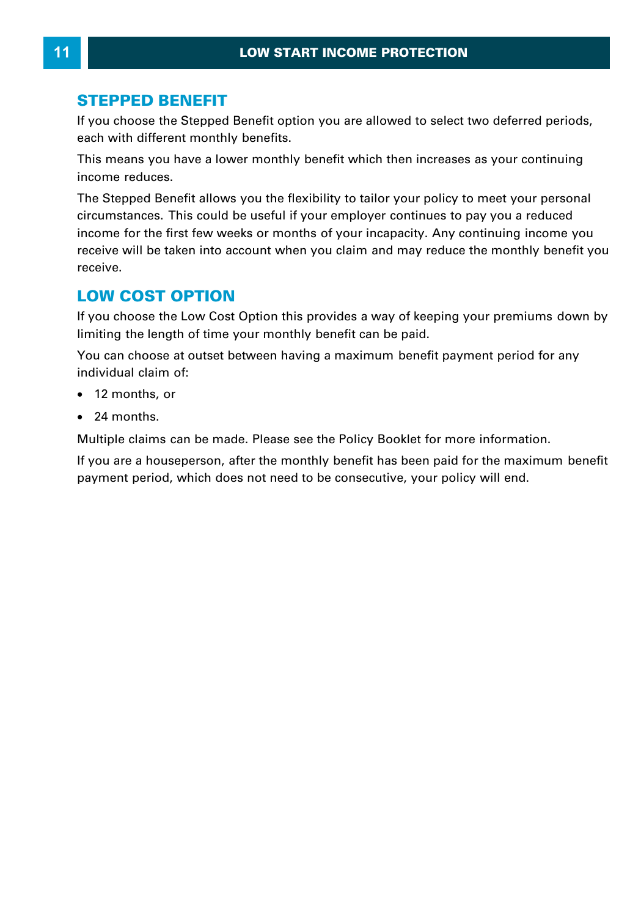#### **STEPPED BENEFIT**

If you choose the Stepped Benefit option you are allowed to select two deferred periods, each with different monthly benefits.

This means you have a lower monthly benefit which then increases as your continuing income reduces.

The Stepped Benefit allows you the flexibility to tailor your policy to meet your personal This means you have a lower monthly benefit which then increases as your continuing<br>income reduces.<br>The Stepped Benefit allows you the flexibility to tailor your policy to meet your personal<br>circumstances. This could be us receive will be taken into account when you claim and may reduce the monthly benefit you receive. If you choose the Low Cost Option then you claim and may reduce the monthly benefit you<br> **LOW COST OPTION**<br>If you choose the Low Cost Option this provides a way of keeping your premiums down by<br>
limiting the length of time

#### **LOW COST OPTION**

limiting the length of time your monthly benefit can be paid. **LOW COST OPTION**<br>If you choose the Low Cost Option this provides a way of keeping your premiums down by<br>limiting the length of time your monthly benefit can be paid.<br>You can choose at outset between having a maximum benef

individual claim of:

- · 12 months, or
- · 24 months.

Multiple claims can be made. Please see the Policy Booklet for more information.

If you are a houseperson, after the monthly benefit has been paid for the maximum benefit payment period, which does not need to be consecutive, your policy will end.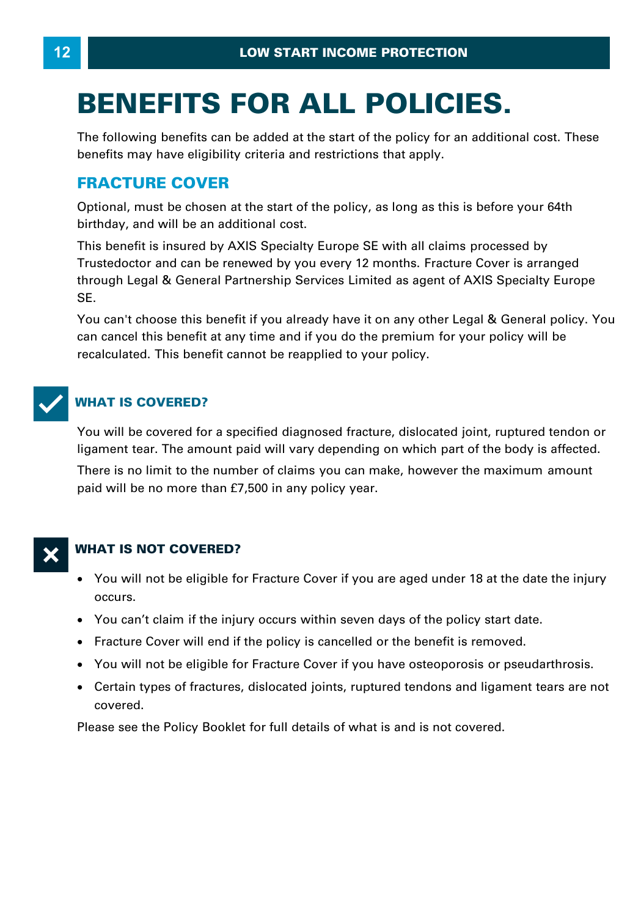# **BENEFITS FOR ALL POLICIES.**

The following benefits can be added at the start of the policy for an additional cost. These benefits may have eligibility criteria and restrictions that apply.

# **FRACTURE COVER**

Optional, must be chosen at the start of the policy, as long as this is before your 64th birthday, and will be an additional cost.

This benefit is insured by AXIS Specialty Europe SE with all claims processed by Trustedoctor and can be renewed by you every 12 months. Fracture Cover is arranged Uptional, must be chosen at the start of the policy, as long as this is before your 64th<br>birthday, and will be an additional cost.<br>This benefit is insured by AXIS Specialty Europe SE with all claims processed by<br>Trustedoct SE. through Legal & General Partnership Services Limited as agent of AXIS Specialty Europe<br>SE.<br>You can't choose this benefit if you already have it on any other Legal & General policy. You

can cancel this benefit at any time and if you do the premium for your policy will be recalculated. This benefit cannot be reapplied to your policy.



#### **WHAT IS COVERED?**

You will be covered for a specified diagnosed fracture, dislocated joint, ruptured tendon or ligament tear. The amount paid will vary depending on which part of the body is affected.

There is no limit to the number of claims you can make, however the maximum amount paid will be no more than £7,500 in any policy year.

#### **WHAT IS NOT COVERED?**

- · You will not be eligible for Fracture Cover if you are aged under 18 at the date the injury occurs.
- · You can't claim if the injury occurs within seven days of the policy start date.
- · Fracture Cover will end if the policy is cancelled or the benefit is removed.
- · You will not be eligible for Fracture Cover if you have osteoporosis or pseudarthrosis.
- · Certain types of fractures, dislocated joints, ruptured tendons and ligament tears are not covered.

Please see the Policy Booklet for full details of what is and is not covered.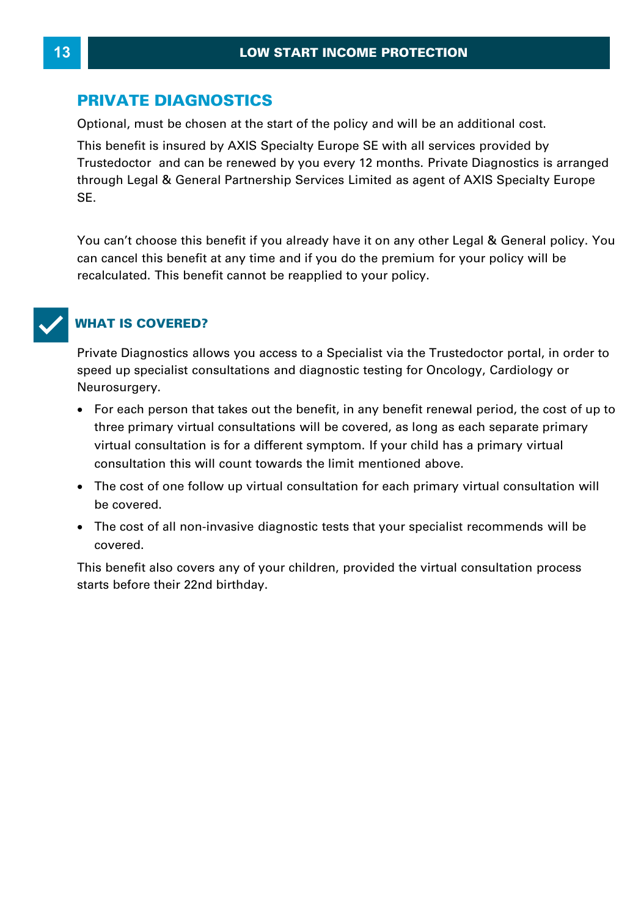### **PRIVATE DIAGNOSTICS**

Optional, must be chosen at the start of the policy and will be an additional cost. This benefit is insured by AXIS Specialty Europe SE with all services provided by Trustedoctor and can be renewed by you every 12 months. Private Diagnostics is arranged Through Legal Americans at the start of the policy and will be an additional cost.<br>This benefit is insured by AXIS Specialty Europe SE with all services provided by<br>Trustedoctor and can be renewed by you every 12 months. P SE. through Legal & General Partnership Services Limited as agent of AXIS Specialty Europe<br>SE.<br>You can't choose this benefit if you already have it on any other Legal & General policy. You

can cancel this benefit at any time and if you do the premium for your policy will be recalculated. This benefit cannot be reapplied to your policy.

#### T**WHAT IS COVERED?**

Private Diagnostics allows you access to a Specialist via the Trustedoctor portal, in order to speed up specialist consultations and diagnostic testing for Oncology, Cardiology or Neurosurgery.

- · For each person that takes out the benefit, in any benefit renewal period, the cost of up to three primary virtual consultations will be covered, as long as each separate primary ved up specialist consultations and diagnostic testing for Oficology, Cardiology of<br>urosurgery.<br>For each person that takes out the benefit, in any benefit renewal period, the cost of u<br>three primary virtual consultation is consultation this will count towards the limit mentioned above.
- · The cost of one follow up virtual consultation for each primary virtual consultation will be covered.
- · The cost of all non-invasive diagnostic tests that your specialist recommends will be covered.

This benefit also covers any of your children, provided the virtual consultation process starts before their 22nd birthday.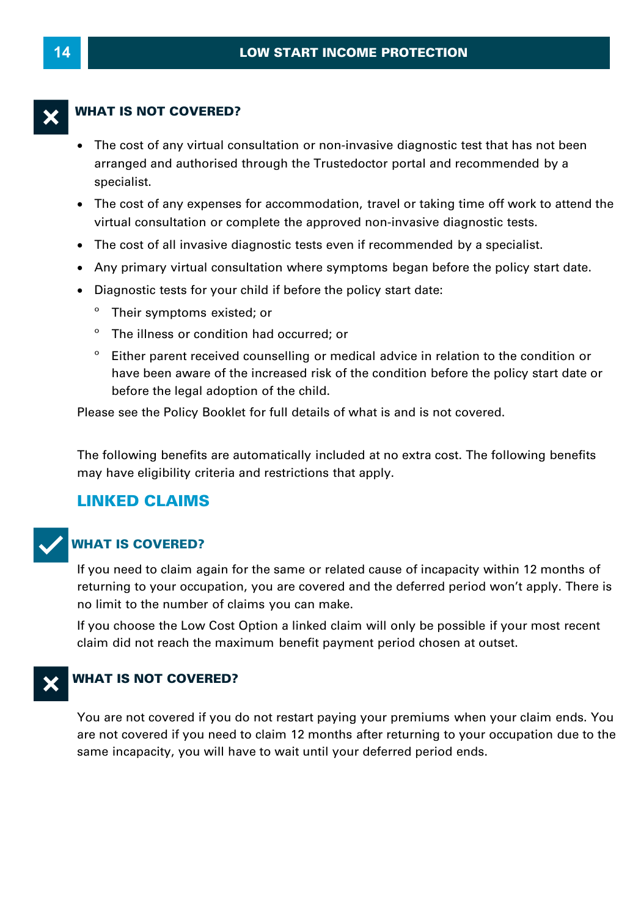#### **WHAT IS NOT COVERED?**

- · The cost of any virtual consultation or non-invasive diagnostic test that has not been arranged and authorised through the Trustedoctor portal and recommended by a specialist.
- · The cost of any expenses for accommodation, travel or taking time off work to attend the virtual consultation or complete the approved non-invasive diagnostic tests.
- · The cost of all invasive diagnostic tests even if recommended by a specialist.
- · Any primary virtual consultation where symptoms began before the policy start date.
- · Diagnostic tests for your child if before the policy start date:
	- Their symptoms existed; or
	- º The illness or condition had occurred; or
	- º Either parent received counselling or medical advice in relation to the condition or have been aware of the increased risk of the condition before the policy start date or before the legal adoption of the child.

Please see the Policy Booklet for full details of what is and is not covered.

The following benefits are automatically included at no extra cost. The following benefits may have eligibility criteria and restrictions that apply.

# **LINKED CLAIMS**



#### T**WHAT IS COVERED?**

If you need to claim again for the same or related cause of incapacity within 12 months of returning to your occupation, you are covered and the deferred period won't apply. There is no limit to the number of claims you can make.

If you choose the Low Cost Option a linked claim will only be possible if your most recent claim did not reach the maximum benefit payment period chosen at outset.



#### **WHAT IS NOT COVERED?**

You are not covered if you do not restart paying your premiums when your claim ends. You are not covered if you need to claim 12 months after returning to your occupation due to the same incapacity, you will have to wait until your deferred period ends.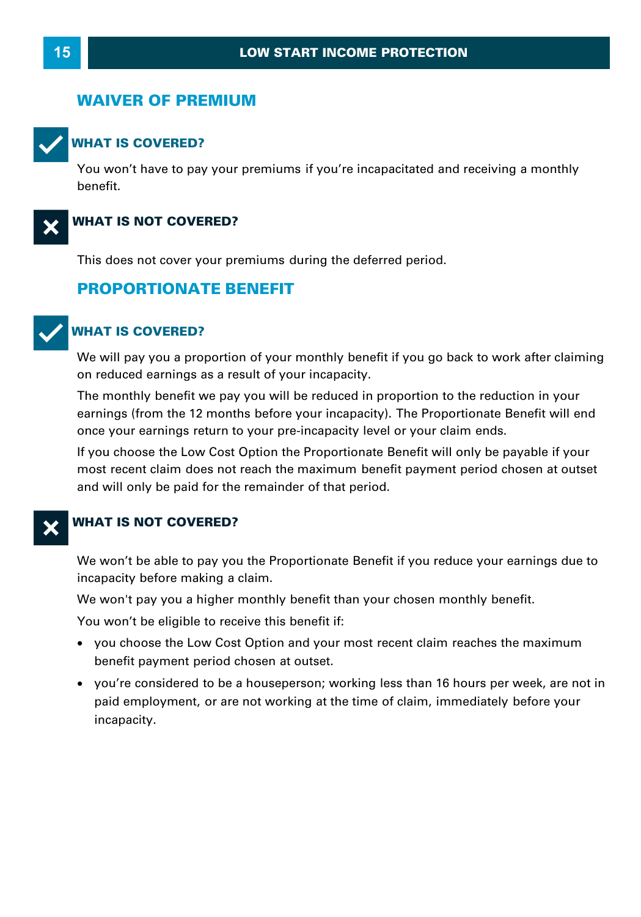#### **WAIVER OF PREMIUM**



#### T**WHAT IS COVERED?**

You won't have to pay your premiums if you're incapacitated and receiving a monthly benefit.



#### **WHAT IS NOT COVERED?**

This does not cover your premiums during the deferred period.

#### **PROPORTIONATE BENEFIT**



#### T**WHAT IS COVERED?**

We will pay you a proportion of your monthly benefit if you go back to work after claiming<br>on reduced earnings as a result of your incapacity. **VHAT IS COVERED?**<br>We will pay you a proportion of your monthly benefit if you go back to work after claiming<br>on reduced earnings as a result of your incapacity.<br>The monthly benefit we pay you will be reduced in proportion

earnings (from the 12 months before your incapacity). The Proportionate Benefit will end once your earnings return to your pre-incapacity level or your claim ends.

If you choose the Low Cost Option the Proportionate Benefit will only be payable if your most recent claim does not reach the maximum benefit payment period chosen at outset and will only be paid for the remainder of that period.

#### **WHAT IS NOT COVERED?**

We won't be able to pay you the Proportionate Benefit if you reduce your earnings due to **WHAT IS NOT COVERED?**<br>We won't be able to pay you the Propo<br>incapacity before making a claim.<br>We won't pay you a higher monthly be We won't be able to pay you the Proportionate Benefit if you reduce your earnings<br>incapacity before making a claim.<br>We won't pay you a higher monthly benefit than your chosen monthly benefit.<br>You won't be eligible to recei

You won't be eligible to receive this benefit if:

- · you choose the Low Cost Option and your most recent claim reaches the maximum benefit payment period chosen at outset.
- ·u won't be eligible to receive this benefit if:<br>you choose the Low Cost Option and your most recent claim reaches the maximum<br>benefit payment period chosen at outset.<br>you're considered to be a houseperson; working less tha paid employment, or are not working at the time of claim, immediately before your incapacity.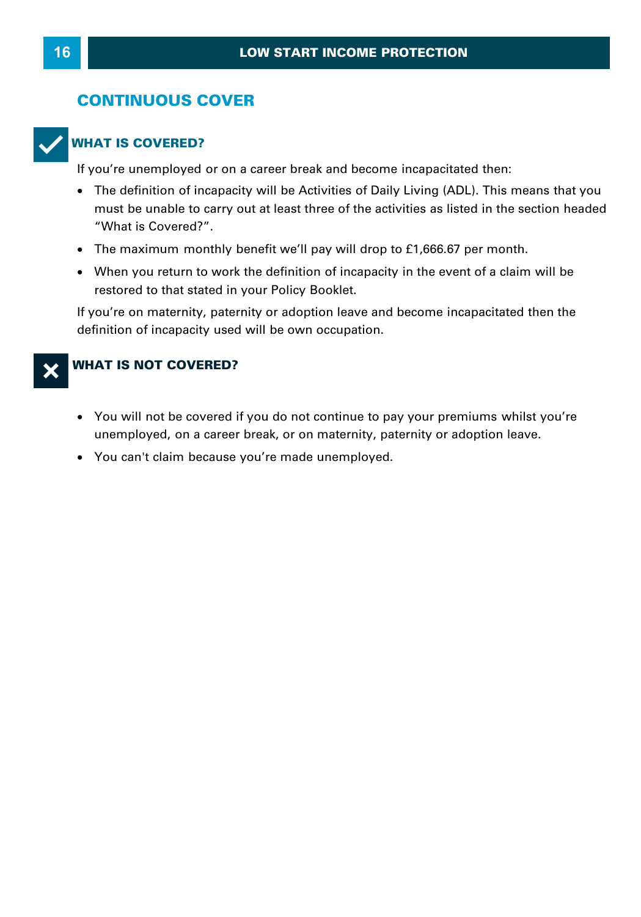### **CONTINUOUS COVER**



**WHAT IS COVERED?**<br>If you're unemployed or on a career break and become incapacitated then:

- The definition of incapacity will be Activities of Daily Living (ADL). This means that you must be unable to carry out at least three of the activities as listed in the section headed "What is Covered?".<br>The maximum monthly benefit we'll pay will drop to £1,666.67 per month.<br>When you return to work the definitio "What is Covered?".
- · The maximum monthly benefit we'll pay will drop to £1,666.67 per month.
- When you return to work the definition of incapacity in the event of a claim will be restored to that stated in your Policy Booklet.

If you're on maternity, paternity or adoption leave and become incapacitated then the definition of incapacity used will be own occupation.

#### **WHAT IS NOT COVERED?**

- · You will not be covered if you do not continue to pay your premiums whilst you're **VHAT IS NOT COVERED?**<br>• You will not be covered if you do not continue to pay your premiums whilst you'<br>unemployed, on a career break, or on maternity, paternity or adoption leave.<br>• You can't claim because you're made un
- You can't claim because you're made unemployed.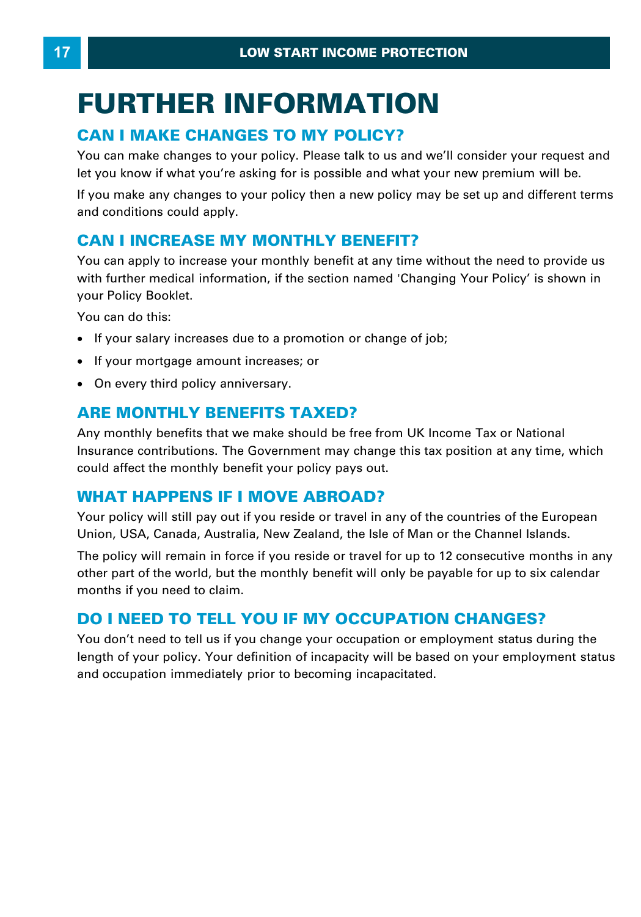# **FURTHER INFORMATION**  LOW START INCOME PROTECTI<br> **CAN I MAKE CHANGES TO MY POLICY?**<br>
You can make changes to your policy. Please talk to us and we'

You can make changes to your policy. Please talk to us and we'll consider your request and let you know if what you're asking for is possible and what your new premium will be. **CAN I MAKE CHANGES TO MY POLICY?**<br>You can make changes to your policy. Please talk to us and we'll consider your request and let you know if what you're asking for is possible and what your new premium will be.<br>If you mak You can make changes to your policy. Please talk to us and we'll c<br>let you know if what you're asking for is possible and what your n<br>If you make any changes to your policy then a new policy may be<br>and conditions could app

and conditions could apply.

You can apply to increase your monthly benefit at any time without the need to provide us For an apply to moledse your monthly benefit at any time without the heed to provide as<br>with further medical information, if the section named 'Changing Your Policy' is shown in<br>your Policy Booklet.<br>You can do this:<br>• If y your Policy Booklet.

You can do this:

- If your salary increases due to a promotion or change of job;
- If your mortgage amount increases; or
- · On every third policy anniversary.

# **ARE MONTHLY BENEFITS TAXED?**

Any monthly benefits that we make should be free from UK Income Tax or National Insurance contributions. The Government may change this tax position at any time, which could affect the monthly benefit your policy pays out. **ARE MONTHLY BENEFITS TAXED?**<br>Any monthly benefits that we make should be free from UK<br>Insurance contributions. The Government may change this t<br>could affect the monthly benefit your policy pays out.<br>WHAT HAPPENS IF I MOVE

Your policy will still pay out if you reside or travel in any of the countries of the European Union, USA, Canada, Australia, New Zealand, the Isle of Man or the Channel Islands.

The policy will remain in force if you reside or travel for up to 12 consecutive months in any other part of the world, but the monthly benefit will only be payable for up to six calendar months if you need to claim. Union, USA, Canada, Australia, New Zealand, the Isle of Man or the Channel Islands.<br>The policy will remain in force if you reside or travel for up to 12 consecutive months in<br>other part of the world, but the monthly benefi

You don't need to tell us if you change your occupation or employment status during the length of your policy. Your definition of incapacity will be based on your employment status and occupation immediately prior to becoming incapacitated.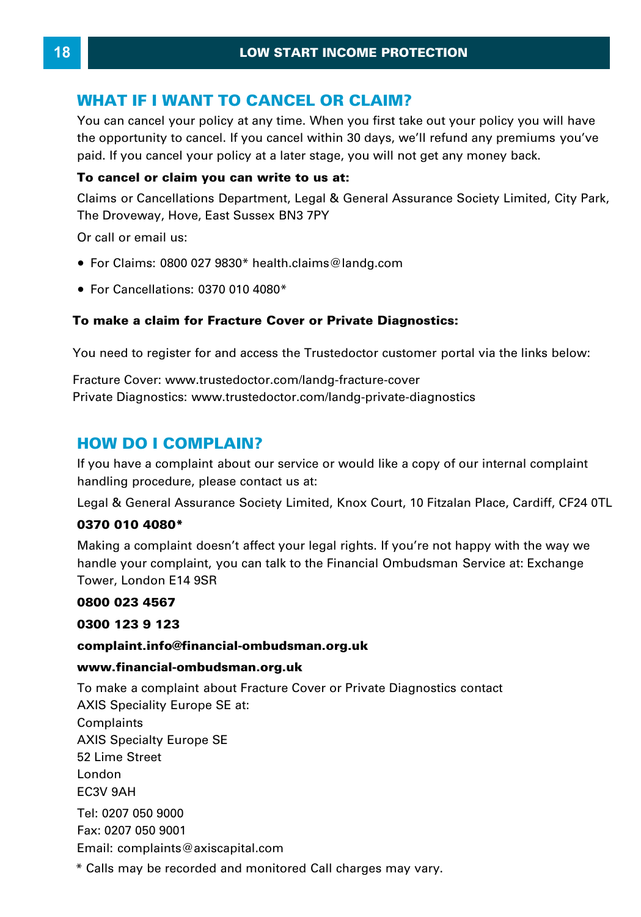**LOW START INCOME PROTECTIC<br>
WHAT IF I WANT TO CANCEL OR CLAIM?**<br>
You can cancel your policy at any time. When you first take out y You can cancel your policy at any time. When you first take out your policy you will have To can cancel your policy at any time. When you mist take out your policy you will have the opportunity to cancel. If you cancel within 30 days, we'll refund any premiums you've paid. If you cancel your policy at a later s WHAT IF I WANT TO CANCEL OR CLAIM?<br>You can cancel your policy at any time. When you first take out your policy you will the opportunity to cancel. If you cancel within 30 days, we'll refund any premiums you paid. If you ca

#### **To cancel or claim you can write to us at:**

The Droveway, Hove, East Sussex BN3 7PY

Or call or email us:

- · For Claims: 0800 027 9830\* health.claims@landg.com
- · For Cancellations: 0370 010 4080 \*

#### **To make a claim for Fracture Cover or Private Diagnostics:**

You need to register for and access the Trustedoctor customer portal via the links below:

Fracture Cover: [www.trustedoctor.com/landg-fracture-cover](https://www.trustedoctor.com/landg-fracture-cover)  Private Diagnostics: www.trustedoctor.com/landg-private-diagnostics You need to register for and access the<br>Fracture Cover: www.trustedoctor.com/l<br>Private Diagnostics: www.trustedoctor.c<br>**HOW DO I COMPLAIN?**<br>If you have a complaint about our servi

**HOWDO I COMPLAIN?**<br>If you have a complaint about our service or would like a copy of our internal complaint handling procedure, please contact us at: **HOW DO I COMPLAIN?**<br>If you have a complaint about our service or would like a copy of our internal complaint<br>handling procedure, please contact us at:<br>Legal & General Assurance Society Limited, Knox Court, 10 Fitzalan Pla

#### **0370 010 4080 \***

handling procedure, please contact us at:<br>Legal & General Assurance Society Limited, Knox Court, 10 Fitzalan Place, Cardiff, CF24 0TL<br>**0370 010 4080\***<br>Making a complaint doesn't affect your legal rights. If you're not happ making a complaint accord tancet you logar rights. If you're hot happy with the way we<br>handle your complaint, you can talk to the Financial Ombudsman Service at: Exchange<br>Tower, London E14 9SR<br>**0300 023 4567**<br>complaint.inf Tower, London E14 9SR

#### **0800 023 4567**

#### **complaint.info@financial-ombudsman.org.uk**

#### **www.financial-ombudsman.org.uk**

0300 123 9 123<br>complaint.info@financial-ombudsman.org.uk<br>www.financial-ombudsman.org.uk<br>To make a complaint about Fracture Cover or Private Diagnostics contact AXIS Speciality Europe SE at: Complaints AXIS Specialty Europe SE 52 Lime Street London EC3V 9AH Tel: 0207 050 9000 Fax: 0207 050 9001 Email: complaints@axiscapital.com